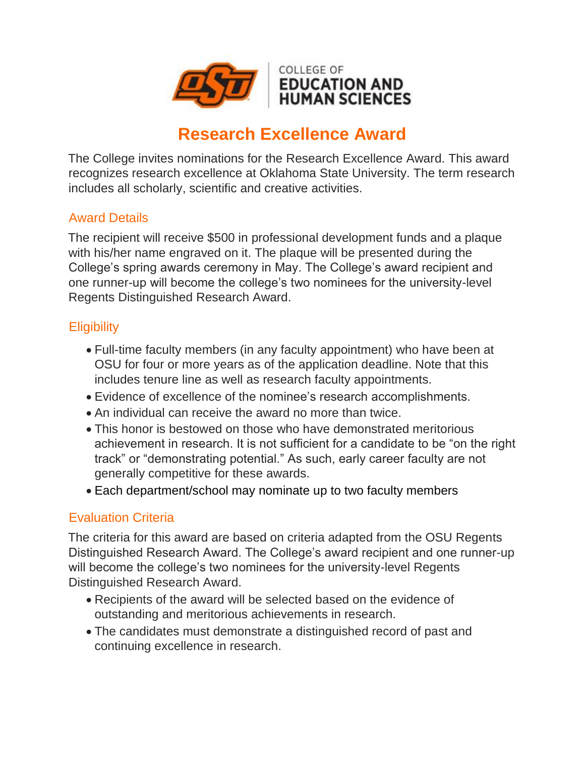

# **Research Excellence Award**

The College invites nominations for the Research Excellence Award. This award recognizes research excellence at Oklahoma State University. The term research includes all scholarly, scientific and creative activities.

### Award Details

The recipient will receive \$500 in professional development funds and a plaque with his/her name engraved on it. The plaque will be presented during the College's spring awards ceremony in May. The College's award recipient and one runner-up will become the college's two nominees for the university-level Regents Distinguished Research Award.

## **Eligibility**

- Full-time faculty members (in any faculty appointment) who have been at OSU for four or more years as of the application deadline. Note that this includes tenure line as well as research faculty appointments.
- Evidence of excellence of the nominee's research accomplishments.
- An individual can receive the award no more than twice.
- This honor is bestowed on those who have demonstrated meritorious achievement in research. It is not sufficient for a candidate to be "on the right track" or "demonstrating potential." As such, early career faculty are not generally competitive for these awards.
- Each department/school may nominate up to two faculty members

## Evaluation Criteria

The criteria for this award are based on criteria adapted from the OSU Regents Distinguished Research Award. The College's award recipient and one runner-up will become the college's two nominees for the university-level Regents Distinguished Research Award.

- Recipients of the award will be selected based on the evidence of outstanding and meritorious achievements in research.
- The candidates must demonstrate a distinguished record of past and continuing excellence in research.